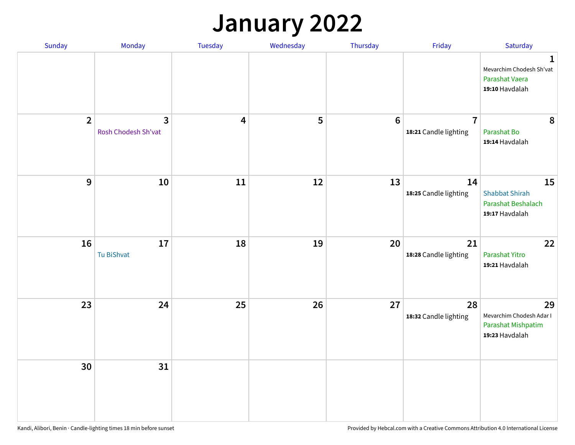## **January 2022**

| Sunday         | Monday                                | Tuesday                 | Wednesday | Thursday         | Friday                                  | Saturday                                                                     |
|----------------|---------------------------------------|-------------------------|-----------|------------------|-----------------------------------------|------------------------------------------------------------------------------|
|                |                                       |                         |           |                  |                                         | $\mathbf{1}$<br>Mevarchim Chodesh Sh'vat<br>Parashat Vaera<br>19:10 Havdalah |
| $\overline{2}$ | $\overline{3}$<br>Rosh Chodesh Sh'vat | $\overline{\mathbf{4}}$ | 5         | $\boldsymbol{6}$ | $\overline{7}$<br>18:21 Candle lighting | 8<br>Parashat Bo<br>19:14 Havdalah                                           |
| $\mathbf{9}$   | 10                                    | ${\bf 11}$              | 12        | 13               | 14<br>18:25 Candle lighting             | 15<br><b>Shabbat Shirah</b><br>Parashat Beshalach<br>19:17 Havdalah          |
| 16             | 17<br><b>Tu BiShvat</b>               | 18                      | 19        | 20               | 21<br>18:28 Candle lighting             | 22<br>Parashat Yitro<br>19:21 Havdalah                                       |
| 23             | 24                                    | 25                      | 26        | 27               | 28<br>18:32 Candle lighting             | 29<br>Mevarchim Chodesh Adar I<br>Parashat Mishpatim<br>19:23 Havdalah       |
| 30             | 31                                    |                         |           |                  |                                         |                                                                              |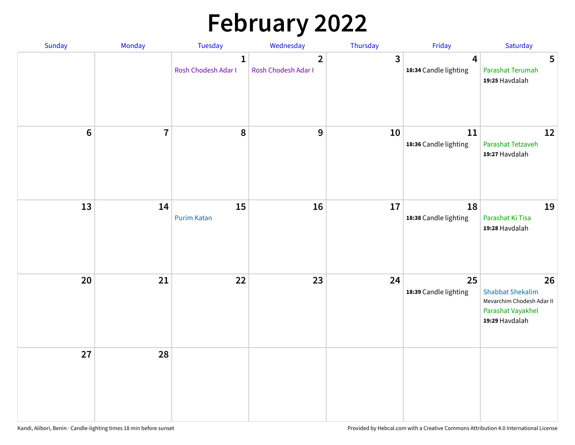# **February 2022**

| Sunday  | Monday                  | <b>Tuesday</b>                      | Wednesday                             | Thursday | Friday                                           | Saturday                                                                                          |
|---------|-------------------------|-------------------------------------|---------------------------------------|----------|--------------------------------------------------|---------------------------------------------------------------------------------------------------|
|         |                         | $\mathbf{1}$<br>Rosh Chodesh Adar I | $\overline{2}$<br>Rosh Chodesh Adar I | 3        | $\overline{\mathbf{4}}$<br>18:34 Candle lighting | 5<br>Parashat Terumah<br>19:25 Havdalah                                                           |
| $\bf 6$ | $\overline{\mathbf{7}}$ | 8                                   | $\boldsymbol{9}$                      | 10       | 11<br>18:36 Candle lighting                      | 12<br>Parashat Tetzaveh<br>19:27 Havdalah                                                         |
| 13      | 14                      | 15<br><b>Purim Katan</b>            | 16                                    | 17       | 18<br>18:38 Candle lighting                      | 19<br>Parashat Ki Tisa<br>19:28 Havdalah                                                          |
| 20      | 21                      | 22                                  | 23                                    | 24       | 25<br>18:39 Candle lighting                      | 26<br><b>Shabbat Shekalim</b><br>Mevarchim Chodesh Adar II<br>Parashat Vayakhel<br>19:29 Havdalah |
| 27      | 28                      |                                     |                                       |          |                                                  |                                                                                                   |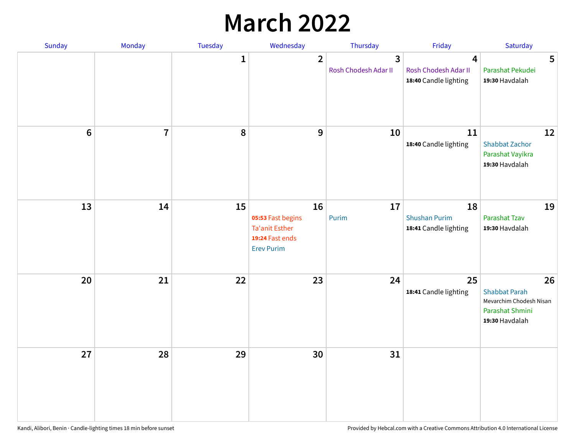## **March 2022**

| Sunday | Monday         | <b>Tuesday</b> | Wednesday                                                                         | Thursday                  | Friday                                              | Saturday                                                                                   |
|--------|----------------|----------------|-----------------------------------------------------------------------------------|---------------------------|-----------------------------------------------------|--------------------------------------------------------------------------------------------|
|        |                | $\mathbf{1}$   | $\overline{2}$                                                                    | 3<br>Rosh Chodesh Adar II | 4<br>Rosh Chodesh Adar II<br>18:40 Candle lighting  | 5<br>Parashat Pekudei<br>19:30 Havdalah                                                    |
| $6\,$  | $\overline{7}$ | 8              | 9                                                                                 | 10                        | 11<br>18:40 Candle lighting                         | 12<br><b>Shabbat Zachor</b><br>Parashat Vayikra<br>19:30 Havdalah                          |
| 13     | 14             | 15             | 16<br>05:53 Fast begins<br>Ta'anit Esther<br>19:24 Fast ends<br><b>Erev Purim</b> | 17<br>Purim               | 18<br><b>Shushan Purim</b><br>18:41 Candle lighting | 19<br>Parashat Tzav<br>19:30 Havdalah                                                      |
| 20     | 21             | 22             | 23                                                                                | 24                        | 25<br>18:41 Candle lighting                         | 26<br><b>Shabbat Parah</b><br>Mevarchim Chodesh Nisan<br>Parashat Shmini<br>19:30 Havdalah |
| 27     | 28             | 29             | 30                                                                                | 31                        |                                                     |                                                                                            |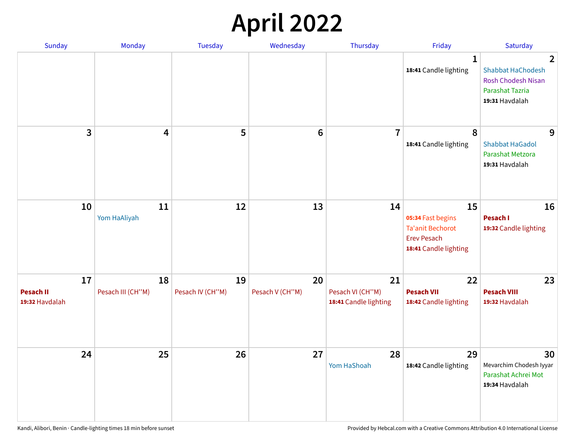## **April 2022**

| Sunday                                   | Monday                  | <b>Tuesday</b>         | Wednesday             | Thursday                                        | Friday                                                                                            | Saturday                                                                                                            |
|------------------------------------------|-------------------------|------------------------|-----------------------|-------------------------------------------------|---------------------------------------------------------------------------------------------------|---------------------------------------------------------------------------------------------------------------------|
|                                          |                         |                        |                       |                                                 | $\mathbf 1$<br>18:41 Candle lighting                                                              | $\overline{2}$<br><b>Shabbat HaChodesh</b><br><b>Rosh Chodesh Nisan</b><br><b>Parashat Tazria</b><br>19:31 Havdalah |
| 3                                        | $\overline{4}$          | 5                      | $6\phantom{1}6$       | $\overline{7}$                                  | 8<br>18:41 Candle lighting                                                                        | 9<br><b>Shabbat HaGadol</b><br>Parashat Metzora<br>19:31 Havdalah                                                   |
| 10                                       | 11<br>Yom HaAliyah      | 12                     | 13                    | 14                                              | 15<br>05:34 Fast begins<br><b>Ta'anit Bechorot</b><br><b>Erev Pesach</b><br>18:41 Candle lighting | 16<br>Pesach I<br>19:32 Candle lighting                                                                             |
| 17<br><b>Pesach II</b><br>19:32 Havdalah | 18<br>Pesach III (CH"M) | 19<br>Pesach IV (CH"M) | 20<br>Pesach V (CH"M) | 21<br>Pesach VI (CH"M)<br>18:41 Candle lighting | 22<br><b>Pesach VII</b><br>18:42 Candle lighting                                                  | 23<br><b>Pesach VIII</b><br>19:32 Havdalah                                                                          |
| 24                                       | 25                      | 26                     | 27                    | 28<br>Yom HaShoah                               | 29<br>18:42 Candle lighting                                                                       | 30<br>Mevarchim Chodesh Iyyar<br>Parashat Achrei Mot<br>19:34 Havdalah                                              |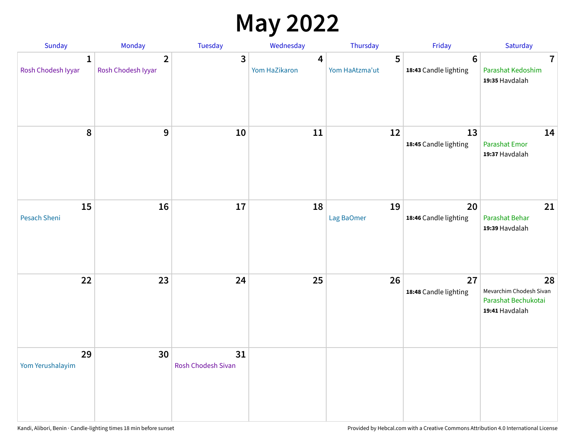## **May 2022**

| <b>Sunday</b>                      | Monday                               | Tuesday                         | Wednesday          | Thursday            | Friday                                   | Saturday                                                               |
|------------------------------------|--------------------------------------|---------------------------------|--------------------|---------------------|------------------------------------------|------------------------------------------------------------------------|
| $\mathbf{1}$<br>Rosh Chodesh Iyyar | $\overline{2}$<br>Rosh Chodesh Iyyar | 3                               | 4<br>Yom HaZikaron | 5<br>Yom HaAtzma'ut | $6\phantom{1}6$<br>18:43 Candle lighting | $\overline{7}$<br>Parashat Kedoshim<br>19:35 Havdalah                  |
| $\pmb{8}$                          | $\mathbf{9}$                         | 10                              | 11                 | 12                  | 13<br>18:45 Candle lighting              | 14<br><b>Parashat Emor</b><br>19:37 Havdalah                           |
| 15<br>Pesach Sheni                 | 16                                   | 17                              | 18                 | 19<br>Lag BaOmer    | 20<br>18:46 Candle lighting              | 21<br>Parashat Behar<br>19:39 Havdalah                                 |
| 22                                 | 23                                   | 24                              | 25                 | 26                  | 27<br>18:48 Candle lighting              | 28<br>Mevarchim Chodesh Sivan<br>Parashat Bechukotai<br>19:41 Havdalah |
| 29<br>Yom Yerushalayim             | 30                                   | 31<br><b>Rosh Chodesh Sivan</b> |                    |                     |                                          |                                                                        |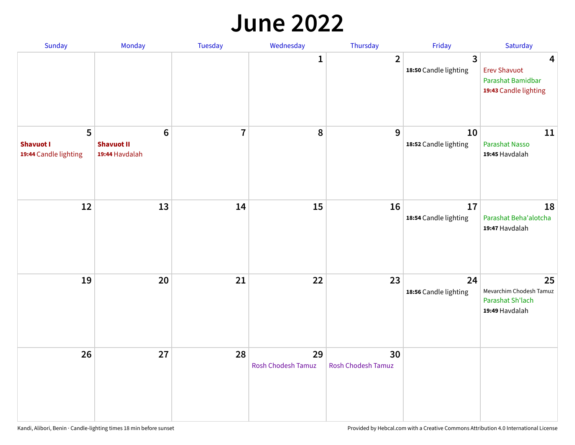#### **June 2022**

| Sunday                                         | Monday                                         | Tuesday        | Wednesday                       | Thursday                        | Friday                      | Saturday                                                                                     |
|------------------------------------------------|------------------------------------------------|----------------|---------------------------------|---------------------------------|-----------------------------|----------------------------------------------------------------------------------------------|
|                                                |                                                |                | 1                               | $\overline{2}$                  | 3<br>18:50 Candle lighting  | $\overline{\mathbf{4}}$<br><b>Erev Shavuot</b><br>Parashat Bamidbar<br>19:43 Candle lighting |
| 5<br><b>Shavuot I</b><br>19:44 Candle lighting | $\bf 6$<br><b>Shavuot II</b><br>19:44 Havdalah | $\overline{7}$ | 8                               | 9                               | 10<br>18:52 Candle lighting | 11<br>Parashat Nasso<br>19:45 Havdalah                                                       |
| 12                                             | 13                                             | 14             | 15                              | 16                              | 17<br>18:54 Candle lighting | 18<br>Parashat Beha'alotcha<br>19:47 Havdalah                                                |
| 19                                             | 20                                             | 21             | 22                              | 23                              | 24<br>18:56 Candle lighting | 25<br>Mevarchim Chodesh Tamuz<br>Parashat Sh'lach<br>19:49 Havdalah                          |
| 26                                             | 27                                             | 28             | 29<br><b>Rosh Chodesh Tamuz</b> | 30<br><b>Rosh Chodesh Tamuz</b> |                             |                                                                                              |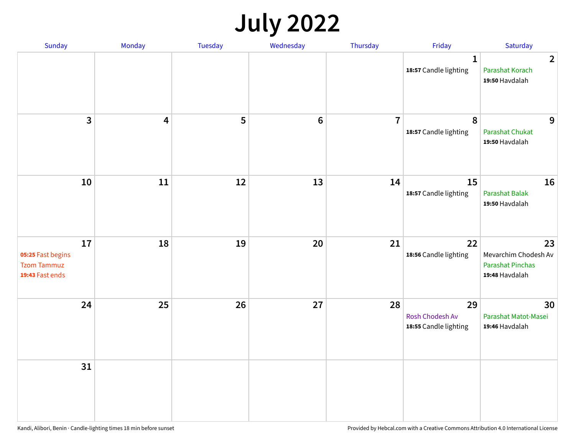## **July 2022**

| Sunday                                                           | Monday | Tuesday | Wednesday      | Thursday       | Friday                                         | Saturday                                                                |
|------------------------------------------------------------------|--------|---------|----------------|----------------|------------------------------------------------|-------------------------------------------------------------------------|
|                                                                  |        |         |                |                | $\mathbf{1}$<br>18:57 Candle lighting          | $\overline{2}$<br>Parashat Korach<br>19:50 Havdalah                     |
| $\mathbf{3}$                                                     | 4      | 5       | $6\phantom{1}$ | $\overline{7}$ | $\boldsymbol{8}$<br>18:57 Candle lighting      | 9<br><b>Parashat Chukat</b><br>19:50 Havdalah                           |
| 10                                                               | 11     | 12      | 13             | 14             | 15<br>18:57 Candle lighting                    | 16<br><b>Parashat Balak</b><br>19:50 Havdalah                           |
| 17<br>05:25 Fast begins<br><b>Tzom Tammuz</b><br>19:43 Fast ends | 18     | 19      | 20             | 21             | 22<br>18:56 Candle lighting                    | 23<br>Mevarchim Chodesh Av<br><b>Parashat Pinchas</b><br>19:48 Havdalah |
| 24                                                               | 25     | 26      | 27             | 28             | 29<br>Rosh Chodesh Av<br>18:55 Candle lighting | 30<br>Parashat Matot-Masei<br>19:46 Havdalah                            |
| 31                                                               |        |         |                |                |                                                |                                                                         |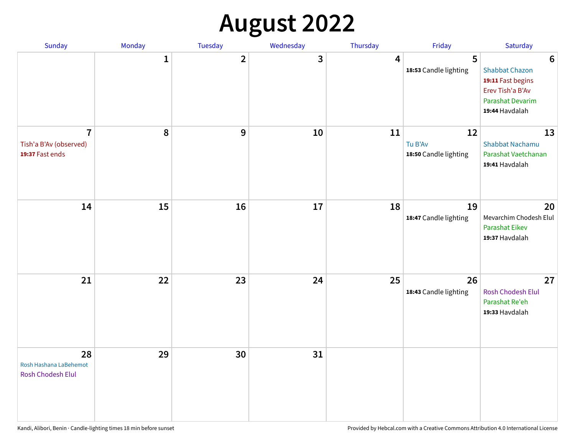# **August 2022**

| Sunday                                                      | Monday       | Tuesday                 | Wednesday | Thursday | Friday                                 | Saturday                                                                                                                       |
|-------------------------------------------------------------|--------------|-------------------------|-----------|----------|----------------------------------------|--------------------------------------------------------------------------------------------------------------------------------|
|                                                             | $\mathbf{1}$ | $\overline{\mathbf{2}}$ | 3         | 4        | 5<br>18:53 Candle lighting             | $6\phantom{1}6$<br><b>Shabbat Chazon</b><br>19:11 Fast begins<br>Erev Tish'a B'Av<br><b>Parashat Devarim</b><br>19:44 Havdalah |
| $\overline{7}$<br>Tish'a B'Av (observed)<br>19:37 Fast ends | 8            | 9                       | 10        | 11       | 12<br>Tu B'Av<br>18:50 Candle lighting | 13<br><b>Shabbat Nachamu</b><br>Parashat Vaetchanan<br>19:41 Havdalah                                                          |
| 14                                                          | 15           | 16                      | 17        | 18       | 19<br>18:47 Candle lighting            | 20<br>Mevarchim Chodesh Elul<br><b>Parashat Eikev</b><br>19:37 Havdalah                                                        |
| 21                                                          | 22           | 23                      | 24        | 25       | 26<br>18:43 Candle lighting            | 27<br><b>Rosh Chodesh Elul</b><br>Parashat Re'eh<br>19:33 Havdalah                                                             |
| 28<br>Rosh Hashana LaBehemot<br>Rosh Chodesh Elul           | 29           | 30                      | 31        |          |                                        |                                                                                                                                |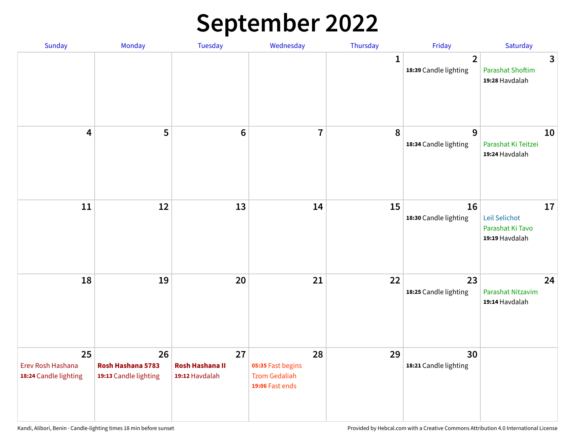## **September 2022**

| Sunday                                           | Monday                                           | <b>Tuesday</b>                                 | Wednesday                                                          | Thursday    | Friday                                  | Saturday                                                  |
|--------------------------------------------------|--------------------------------------------------|------------------------------------------------|--------------------------------------------------------------------|-------------|-----------------------------------------|-----------------------------------------------------------|
|                                                  |                                                  |                                                |                                                                    | $\mathbf 1$ | $\overline{2}$<br>18:39 Candle lighting | 3<br><b>Parashat Shoftim</b><br>19:28 Havdalah            |
| $\overline{\mathbf{4}}$                          | 5                                                | $6\phantom{1}6$                                | $\overline{7}$                                                     | 8           | 9<br>18:34 Candle lighting              | 10<br>Parashat Ki Teitzei<br>19:24 Havdalah               |
| 11                                               | 12                                               | 13                                             | 14                                                                 | 15          | 16<br>18:30 Candle lighting             | 17<br>Leil Selichot<br>Parashat Ki Tavo<br>19:19 Havdalah |
| 18                                               | 19                                               | 20                                             | 21                                                                 | 22          | 23<br>18:25 Candle lighting             | 24<br>Parashat Nitzavim<br>19:14 Havdalah                 |
| 25<br>Erev Rosh Hashana<br>18:24 Candle lighting | 26<br>Rosh Hashana 5783<br>19:13 Candle lighting | 27<br><b>Rosh Hashana II</b><br>19:12 Havdalah | 28<br>05:35 Fast begins<br><b>Tzom Gedaliah</b><br>19:06 Fast ends | 29          | 30<br>18:21 Candle lighting             |                                                           |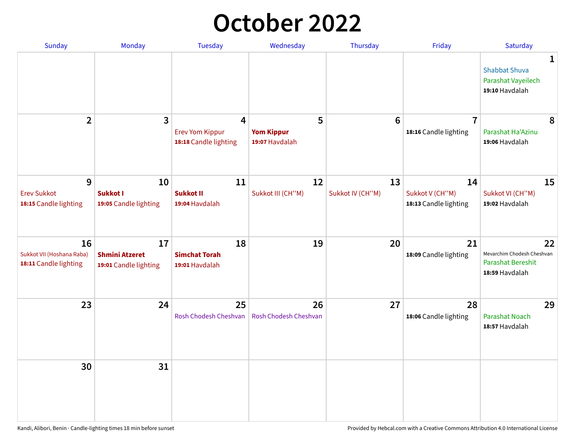## **October 2022**

| Sunday                                                   | Monday                                               | <b>Tuesday</b>                                                    | Wednesday                                | Thursday               | Friday                                         | Saturday                                                                |
|----------------------------------------------------------|------------------------------------------------------|-------------------------------------------------------------------|------------------------------------------|------------------------|------------------------------------------------|-------------------------------------------------------------------------|
|                                                          |                                                      |                                                                   |                                          |                        |                                                | 1<br><b>Shabbat Shuva</b><br>Parashat Vayeilech<br>19:10 Havdalah       |
| $\overline{2}$                                           | $\overline{\mathbf{3}}$                              | $\overline{4}$<br><b>Erev Yom Kippur</b><br>18:18 Candle lighting | 5<br><b>Yom Kippur</b><br>19:07 Havdalah | 6                      | $\overline{7}$<br>18:16 Candle lighting        | 8<br>Parashat Ha'Azinu<br>19:06 Havdalah                                |
| 9<br><b>Erev Sukkot</b><br>18:15 Candle lighting         | 10<br><b>Sukkot I</b><br>19:05 Candle lighting       | 11<br><b>Sukkot II</b><br>19:04 Havdalah                          | 12<br>Sukkot III (CH"M)                  | 13<br>Sukkot IV (CH"M) | 14<br>Sukkot V (CH"M)<br>18:13 Candle lighting | 15<br>Sukkot VI (CH"M)<br>19:02 Havdalah                                |
| 16<br>Sukkot VII (Hoshana Raba)<br>18:11 Candle lighting | 17<br><b>Shmini Atzeret</b><br>19:01 Candle lighting | 18<br><b>Simchat Torah</b><br>19:01 Havdalah                      | 19                                       | 20                     | 21<br>18:09 Candle lighting                    | 22<br>Mevarchim Chodesh Cheshvan<br>Parashat Bereshit<br>18:59 Havdalah |
| 23                                                       | 24                                                   | 25<br>Rosh Chodesh Cheshvan                                       | 26<br>Rosh Chodesh Cheshvan              | 27                     | 28<br>18:06 Candle lighting                    | 29<br><b>Parashat Noach</b><br>18:57 Havdalah                           |
| 30                                                       | 31                                                   |                                                                   |                                          |                        |                                                |                                                                         |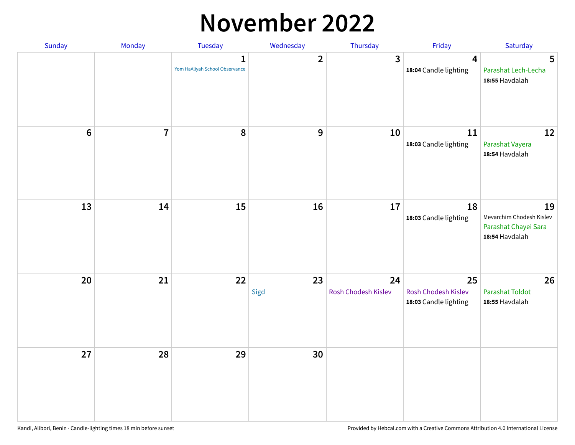### **November 2022**

| Sunday         | Monday         | <b>Tuesday</b>                                 | Wednesday        | Thursday                  | Friday                                             | Saturday                                                                 |
|----------------|----------------|------------------------------------------------|------------------|---------------------------|----------------------------------------------------|--------------------------------------------------------------------------|
|                |                | $\mathbf{1}$<br>Yom HaAliyah School Observance | $\mathbf{2}$     | $\mathbf{3}$              | $\overline{\mathbf{4}}$<br>18:04 Candle lighting   | 5<br>Parashat Lech-Lecha<br>18:55 Havdalah                               |
| $6\phantom{a}$ | $\overline{7}$ | 8                                              | $\boldsymbol{9}$ | 10                        | 11<br>18:03 Candle lighting                        | 12<br>Parashat Vayera<br>18:54 Havdalah                                  |
| 13             | 14             | 15                                             | 16               | 17                        | 18<br>18:03 Candle lighting                        | 19<br>Mevarchim Chodesh Kislev<br>Parashat Chayei Sara<br>18:54 Havdalah |
| 20             | 21             | 22                                             | 23<br>Sigd       | 24<br>Rosh Chodesh Kislev | 25<br>Rosh Chodesh Kislev<br>18:03 Candle lighting | 26<br><b>Parashat Toldot</b><br>18:55 Havdalah                           |
| 27             | 28             | 29                                             | 30               |                           |                                                    |                                                                          |